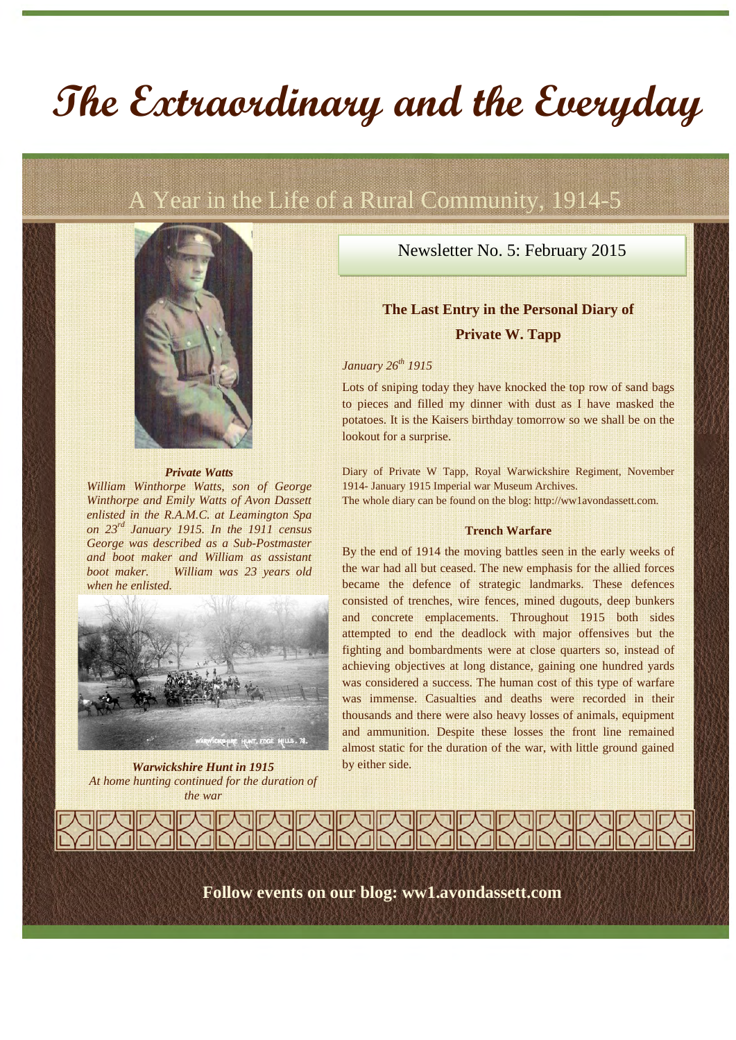# **The Extraordinary and the Everyday**

# A Year in the Life of a Rural Community, 1914-5



#### *Private Watts*

*William Winthorpe Watts, son of George Winthorpe and Emily Watts of Avon Dassett enlisted in the R.A.M.C. at Leamington Spa on 23rd January 1915. In the 1911 census George was described as a Sub-Postmaster and boot maker and William as assistant boot maker. William was 23 years old when he enlisted.*



*Warwickshire Hunt in 1915 At home hunting continued for the duration of the war*

Newsletter No. 5: February 2015

# **The Last Entry in the Personal Diary of Private W. Tapp**

### *January 26th 1915*

Lots of sniping today they have knocked the top row of sand bags to pieces and filled my dinner with dust as I have masked the potatoes. It is the Kaisers birthday tomorrow so we shall be on the lookout for a surprise.

Diary of Private W Tapp, Royal Warwickshire Regiment, November 1914- January 1915 Imperial war Museum Archives.

The whole diary can be found on the blog: http://ww1avondassett.com.

#### **Trench Warfare**

By the end of 1914 the moving battles seen in the early weeks of the war had all but ceased. The new emphasis for the allied forces became the defence of strategic landmarks. These defences consisted of trenches, wire fences, mined dugouts, deep bunkers and concrete emplacements. Throughout 1915 both sides attempted to end the deadlock with major offensives but the fighting and bombardments were at close quarters so, instead of achieving objectives at long distance, gaining one hundred yards was considered a success. The human cost of this type of warfare was immense. Casualties and deaths were recorded in their thousands and there were also heavy losses of animals, equipment and ammunition. Despite these losses the front line remained almost static for the duration of the war, with little ground gained by either side.